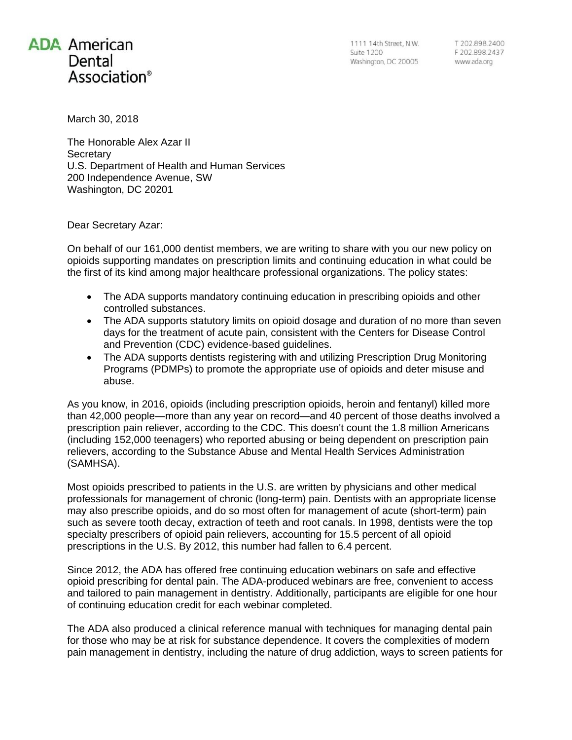## **ADA** American Dental Association®

T 202.898.2400<br>F 202.898.2437 www.ada.org

March 30, 2018

The Honorable Alex Azar II **Secretary** U.S. Department of Health and Human Services 200 Independence Avenue, SW Washington, DC 20201

Dear Secretary Azar:

On behalf of our 161,000 dentist members, we are writing to share with you our new policy on opioids supporting mandates on prescription limits and continuing education in what could be the first of its kind among major healthcare professional organizations. The policy states:

- The ADA supports mandatory continuing education in prescribing opioids and other controlled substances.
- The ADA supports statutory limits on opioid dosage and duration of no more than seven days for the treatment of acute pain, consistent with the Centers for Disease Control and Prevention (CDC) evidence-based guidelines.
- The ADA supports dentists registering with and utilizing Prescription Drug Monitoring Programs (PDMPs) to promote the appropriate use of opioids and deter misuse and abuse.

As you know, in 2016, opioids (including prescription opioids, heroin and fentanyl) killed more than 42,000 people—more than any year on record—and 40 percent of those deaths involved a prescription pain reliever, according to the CDC. This doesn't count the 1.8 million Americans (including 152,000 teenagers) who reported abusing or being dependent on prescription pain relievers, according to the Substance Abuse and Mental Health Services Administration (SAMHSA).

Most opioids prescribed to patients in the U.S. are written by physicians and other medical professionals for management of chronic (long-term) pain. Dentists with an appropriate license may also prescribe opioids, and do so most often for management of acute (short-term) pain such as severe tooth decay, extraction of teeth and root canals. In 1998, dentists were the top specialty prescribers of opioid pain relievers, accounting for 15.5 percent of all opioid prescriptions in the U.S. By 2012, this number had fallen to 6.4 percent.

Since 2012, the ADA has offered free continuing education webinars on safe and effective opioid prescribing for dental pain. The ADA-produced webinars are free, convenient to access and tailored to pain management in dentistry. Additionally, participants are eligible for one hour of continuing education credit for each webinar completed.

The ADA also produced a clinical reference manual with techniques for managing dental pain for those who may be at risk for substance dependence. It covers the complexities of modern pain management in dentistry, including the nature of drug addiction, ways to screen patients for